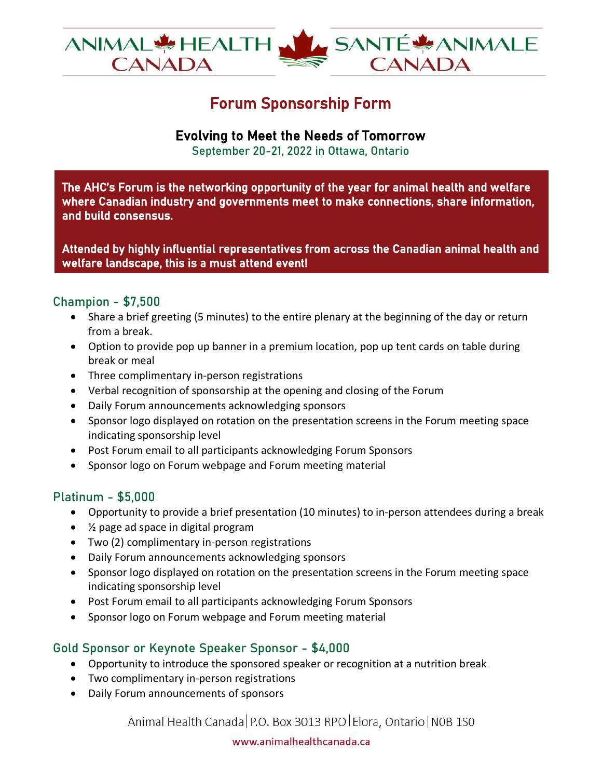

# Forum Sponsorship Form

# Evolving to Meet the Needs of Tomorrow

September 20-21, 2022 in Ottawa, Ontario

The AHC's Forum is the networking opportunity of the year for animal health and welfare where Canadian industry and governments meet to make connections, share information, and build consensus.

Attended by highly influential representatives from across the Canadian animal health and welfare landscape, this is a must attend event!

### Champion - \$7,500

- Share a brief greeting (5 minutes) to the entire plenary at the beginning of the day or return from a break.
- Option to provide pop up banner in a premium location, pop up tent cards on table during break or meal
- Three complimentary in-person registrations
- Verbal recognition of sponsorship at the opening and closing of the Forum
- Daily Forum announcements acknowledging sponsors
- Sponsor logo displayed on rotation on the presentation screens in the Forum meeting space indicating sponsorship level
- Post Forum email to all participants acknowledging Forum Sponsors
- Sponsor logo on Forum webpage and Forum meeting material

## Platinum - \$5,000

- Opportunity to provide a brief presentation (10 minutes) to in-person attendees during a break
- ½ page ad space in digital program
- Two (2) complimentary in-person registrations
- Daily Forum announcements acknowledging sponsors
- Sponsor logo displayed on rotation on the presentation screens in the Forum meeting space indicating sponsorship level
- Post Forum email to all participants acknowledging Forum Sponsors
- Sponsor logo on Forum webpage and Forum meeting material

## Gold Sponsor or Keynote Speaker Sponsor - \$4,000

- Opportunity to introduce the sponsored speaker or recognition at a nutrition break
- Two complimentary in-person registrations
- Daily Forum announcements of sponsors